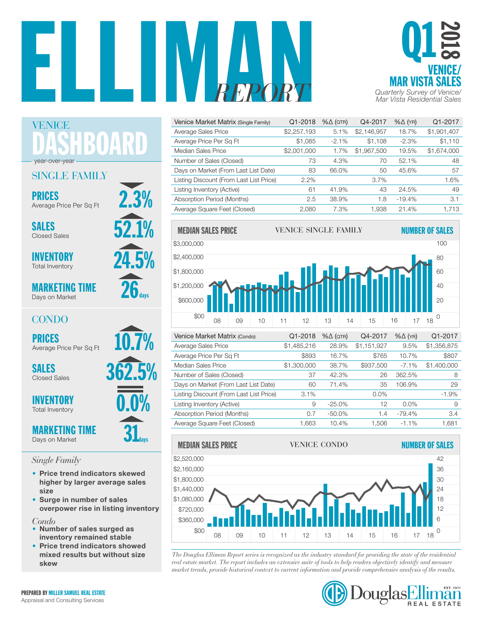



| Venice Market Matrix (Single Family)    | Q1-2018     | $% \triangle (QTR)$ | Q4-2017     | $% \triangle (YR)$ | Q1-2017     |
|-----------------------------------------|-------------|---------------------|-------------|--------------------|-------------|
| Average Sales Price                     | \$2,257,193 | 5.1%                | \$2,146,957 | 18.7%              | \$1,901,407 |
| Average Price Per Sq Ft                 | \$1,085     | $-2.1%$             | \$1.108     | $-2.3%$            | \$1,110     |
| Median Sales Price                      | \$2,001,000 | 1.7%                | \$1,967,500 | 19.5%              | \$1,674,000 |
| Number of Sales (Closed)                | 73          | 4.3%                | 70          | 52.1%              | 48          |
| Days on Market (From Last List Date)    | 83          | 66.0%               | 50          | 45.6%              | 57          |
| Listing Discount (From Last List Price) | 2.2%        |                     | $3.7\%$     |                    | 1.6%        |
| Listing Inventory (Active)              | 61          | 41.9%               | 43          | 24.5%              | 49          |
| Absorption Period (Months)              | 2.5         | 38.9%               | 1.8         | $-19.4%$           | 3.1         |
| Average Square Feet (Closed)            | 2.080       | 7.3%                | 1.938       | 21.4%              | 1.713       |



| Venice Market Matrix (Condo)            | Q1-2018     | $% \triangle (QTR)$ | Q4-2017     | $% \triangle (YR)$ | Q1-2017     |
|-----------------------------------------|-------------|---------------------|-------------|--------------------|-------------|
| Average Sales Price                     | \$1,485,216 | 28.9%               | \$1,151,927 | 9.5%               | \$1,356,875 |
| Average Price Per Sq Ft                 | \$893       | 16.7%               | \$765       | 10.7%              | \$807       |
| Median Sales Price                      | \$1,300,000 | 38.7%               | \$937,500   | $-7.1%$            | \$1,400,000 |
| Number of Sales (Closed)                | 37          | 42.3%               | 26          | 362.5%             | 8           |
| Days on Market (From Last List Date)    | 60          | 71.4%               | 35          | 106.9%             | 29          |
| Listing Discount (From Last List Price) | 3.1%        |                     | $0.0\%$     |                    | $-1.9%$     |
| Listing Inventory (Active)              | 9           | $-25.0%$            | 12          | $0.0\%$            | 9           |
| Absorption Period (Months)              | 0.7         | $-50.0\%$           | 1.4         | $-79.4%$           | 3.4         |
| Average Square Feet (Closed)            | 1.663       | 10.4%               | 1.506       | $-1.1\%$           | 1.681       |



*The Douglas Elliman Report series is recognized as the industry standard for providing the state of the residential*  0 \$00 real estate market. The report includes an extensive suite of tools to help readers objectively identify and measure *market trends, provide historical context to current information and provide comprehensive analysis of the results.* 



DASHBOARD year-over-year

## SINGLE FAMILY

PRICES 2.3% Average Price Per Sq Ft

SALES 52.1% Closed Sales

VENICE

24.5% INVENTORY Total Inventory

MARKETING TIME Days on Market

## **CONDO**

PRICES<br>Average Price Per Sq Ft 10.7%

Closed Sales

**INVENTORY** Total Inventory

MARKETING TIME Days on Market

## *Single Family*

- Price trend indicators skewed higher by larger average sales size
- Surge in number of sales overpower rise in listing inventory

### *Condo*

- Number of sales surged as inventory remained stable
- Price trend indicators showed mixed results but without size skew



 $31$ <sub>days</sub>

 $26a$